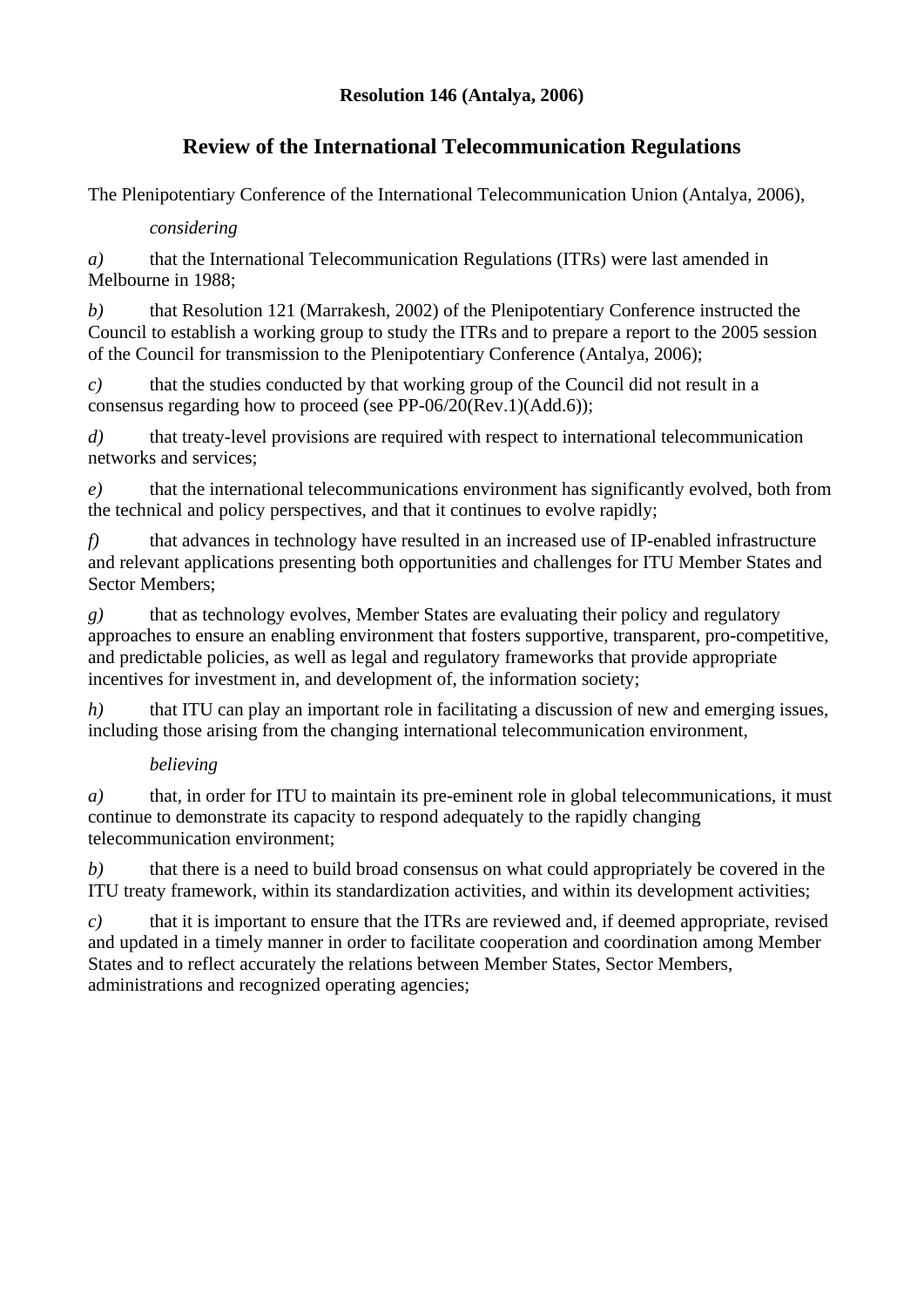### **Resolution 146 (Antalya, 2006)**

# **Review of the International Telecommunication Regulations**

The Plenipotentiary Conference of the International Telecommunication Union (Antalya, 2006),

#### *considering*

*a*) that the International Telecommunication Regulations (ITRs) were last amended in Melbourne in 1988;

*b)* that Resolution 121 (Marrakesh, 2002) of the Plenipotentiary Conference instructed the Council to establish a working group to study the ITRs and to prepare a report to the 2005 session of the Council for transmission to the Plenipotentiary Conference (Antalya, 2006);

*c*) that the studies conducted by that working group of the Council did not result in a consensus regarding how to proceed (see PP-06/20(Rev.1)(Add.6));

d) that treaty-level provisions are required with respect to international telecommunication networks and services;

*e)* that the international telecommunications environment has significantly evolved, both from the technical and policy perspectives, and that it continues to evolve rapidly;

*f)* that advances in technology have resulted in an increased use of IP-enabled infrastructure and relevant applications presenting both opportunities and challenges for ITU Member States and Sector Members;

*g)* that as technology evolves, Member States are evaluating their policy and regulatory approaches to ensure an enabling environment that fosters supportive, transparent, pro-competitive, and predictable policies, as well as legal and regulatory frameworks that provide appropriate incentives for investment in, and development of, the information society;

*h*) that ITU can play an important role in facilitating a discussion of new and emerging issues, including those arising from the changing international telecommunication environment,

#### *believing*

*a*) that, in order for ITU to maintain its pre-eminent role in global telecommunications, it must continue to demonstrate its capacity to respond adequately to the rapidly changing telecommunication environment;

*b)* that there is a need to build broad consensus on what could appropriately be covered in the ITU treaty framework, within its standardization activities, and within its development activities;

*c)* that it is important to ensure that the ITRs are reviewed and, if deemed appropriate, revised and updated in a timely manner in order to facilitate cooperation and coordination among Member States and to reflect accurately the relations between Member States, Sector Members, administrations and recognized operating agencies;